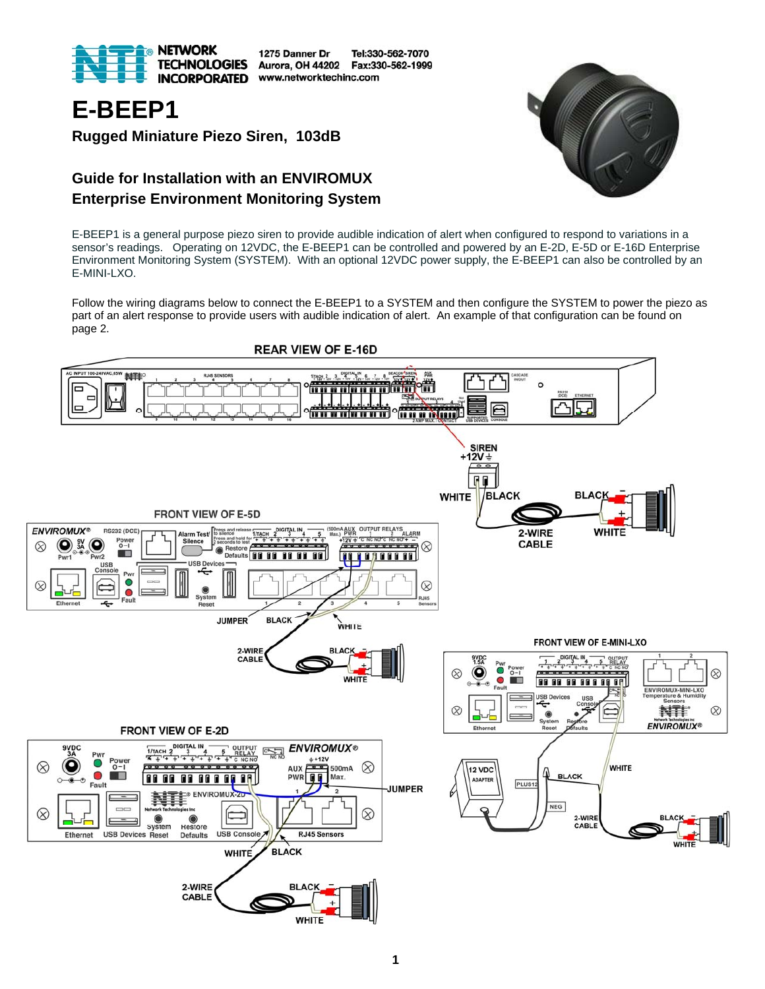

1275 Danner Dr Tel:330-562-7070 Aurora, OH 44202 Fax:330-562-1999 www.networktechinc.com



**Rugged Miniature Piezo Siren, 103dB** 

## **Guide for Installation with an ENVIROMUX Enterprise Environment Monitoring System**



E-BEEP1 is a general purpose piezo siren to provide audible indication of alert when configured to respond to variations in a sensor's readings. Operating on 12VDC, the E-BEEP1 can be controlled and powered by an E-2D, E-5D or E-16D Enterprise Environment Monitoring System (SYSTEM). With an optional 12VDC power supply, the E-BEEP1 can also be controlled by an E-MINI-LXO.

Follow the wiring diagrams below to connect the E-BEEP1 to a SYSTEM and then configure the SYSTEM to power the piezo as part of an alert response to provide users with audible indication of alert. An example of that configuration can be found on page 2.

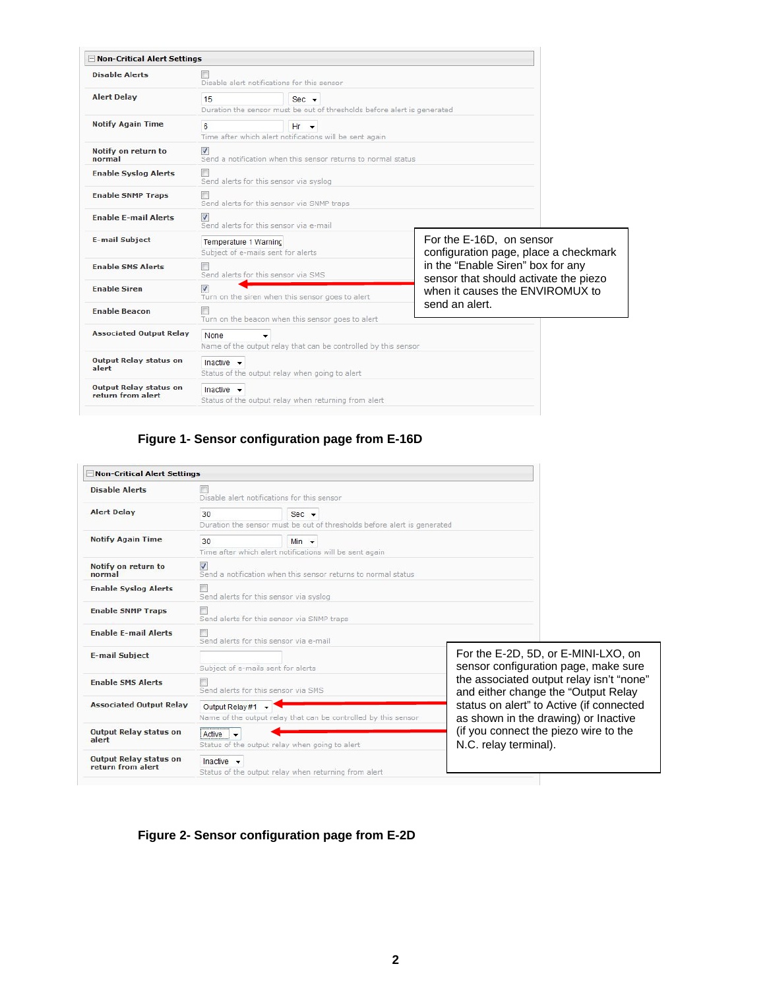| Non-Critical Alert Settings                        |                                                                                                      |  |                                                                                                                                                                                    |  |  |
|----------------------------------------------------|------------------------------------------------------------------------------------------------------|--|------------------------------------------------------------------------------------------------------------------------------------------------------------------------------------|--|--|
| <b>Disable Alerts</b>                              | Disable alert notifications for this sensor                                                          |  |                                                                                                                                                                                    |  |  |
| <b>Alert Delay</b>                                 | 15<br>$Sec$ $\rightarrow$<br>Duration the sensor must be out of thresholds before alert is generated |  |                                                                                                                                                                                    |  |  |
| <b>Notify Again Time</b>                           | $6 \overline{6}$<br>$Hr - r$<br>Time after which alert notifications will be sent again              |  |                                                                                                                                                                                    |  |  |
| Notify on return to<br>normal                      | $\overline{v}$<br>Send a notification when this sensor returns to normal status                      |  |                                                                                                                                                                                    |  |  |
| <b>Enable Syslog Alerts</b>                        | Send alerts for this sensor via syslog                                                               |  |                                                                                                                                                                                    |  |  |
| <b>Enable SNMP Traps</b>                           | Send alerts for this sensor via SNMP traps                                                           |  |                                                                                                                                                                                    |  |  |
| <b>Enable E-mail Alerts</b>                        | $\overline{\mathbf{v}}$<br>Send alerts for this sensor via e-mail                                    |  |                                                                                                                                                                                    |  |  |
| <b>E-mail Subject</b>                              | Temperature 1 Warning<br>Subject of e-mails sent for alerts                                          |  | For the E-16D, on sensor<br>configuration page, place a checkmark<br>in the "Enable Siren" box for any<br>sensor that should activate the piezo<br>when it causes the ENVIROMUX to |  |  |
| <b>Enable SMS Alerts</b>                           | Send alerts for this sensor via SMS                                                                  |  |                                                                                                                                                                                    |  |  |
| <b>Enable Siren</b>                                | $\overline{J}$<br>Turn on the siren when this sensor goes to alert                                   |  |                                                                                                                                                                                    |  |  |
| <b>Enable Beacon</b>                               | send an alert.<br>Turn on the beacon when this sensor goes to alert                                  |  |                                                                                                                                                                                    |  |  |
| <b>Associated Output Relay</b>                     | None<br>Name of the output relay that can be controlled by this sensor                               |  |                                                                                                                                                                                    |  |  |
| <b>Output Relay status on</b><br>alert             | Inactive $\rightarrow$<br>Status of the output relay when going to alert                             |  |                                                                                                                                                                                    |  |  |
| <b>Output Relay status on</b><br>return from alert | Inactive $\sim$<br>Status of the output relay when returning from alert                              |  |                                                                                                                                                                                    |  |  |

### **Figure 1- Sensor configuration page from E-16D**

| - Non-Critical Alert Settings                      |                                                                                                      |                                                                |                                                                                                                                                                                                                                                                                                                      |  |
|----------------------------------------------------|------------------------------------------------------------------------------------------------------|----------------------------------------------------------------|----------------------------------------------------------------------------------------------------------------------------------------------------------------------------------------------------------------------------------------------------------------------------------------------------------------------|--|
| <b>Disable Alerts</b>                              | Disable alert notifications for this sensor                                                          |                                                                |                                                                                                                                                                                                                                                                                                                      |  |
| <b>Alert Delay</b>                                 | 30<br>$Sec$ $\rightarrow$<br>Duration the sensor must be out of thresholds before alert is generated |                                                                |                                                                                                                                                                                                                                                                                                                      |  |
| <b>Notify Again Time</b>                           | 30<br>$Min$ $\rightarrow$<br>Time after which alert notifications will be sent again                 |                                                                |                                                                                                                                                                                                                                                                                                                      |  |
| Notify on return to<br>normal                      | $\blacktriangledown$<br>Send a notification when this sensor returns to normal status                |                                                                |                                                                                                                                                                                                                                                                                                                      |  |
| <b>Enable Syslog Alerts</b>                        | Send alerts for this sensor via syslog                                                               |                                                                |                                                                                                                                                                                                                                                                                                                      |  |
| <b>Enable SNMP Traps</b>                           | Send alerts for this sensor via SNMP traps                                                           |                                                                |                                                                                                                                                                                                                                                                                                                      |  |
| <b>Enable E-mail Alerts</b>                        | Send alerts for this sensor via e-mail                                                               |                                                                |                                                                                                                                                                                                                                                                                                                      |  |
| <b>E-mail Subject</b>                              | Subject of e-mails sent for alerts                                                                   |                                                                | For the E-2D, 5D, or E-MINI-LXO, on<br>sensor configuration page, make sure<br>the associated output relay isn't "none"<br>and either change the "Output Relay<br>status on alert" to Active (if connected<br>as shown in the drawing) or Inactive<br>(if you connect the piezo wire to the<br>N.C. relay terminal). |  |
| <b>Enable SMS Alerts</b>                           | Send alerts for this sensor via SMS                                                                  |                                                                |                                                                                                                                                                                                                                                                                                                      |  |
| <b>Associated Output Relay</b>                     | Output Relay #1 $\sim$                                                                               | Name of the output relay that can be controlled by this sensor |                                                                                                                                                                                                                                                                                                                      |  |
| <b>Output Relay status on</b><br>alert             | Active -<br>Status of the output relay when going to alert                                           |                                                                |                                                                                                                                                                                                                                                                                                                      |  |
| <b>Output Relay status on</b><br>return from alert | Inactive $\rightarrow$                                                                               | Status of the output relay when returning from alert           |                                                                                                                                                                                                                                                                                                                      |  |

## **Figure 2- Sensor configuration page from E-2D**